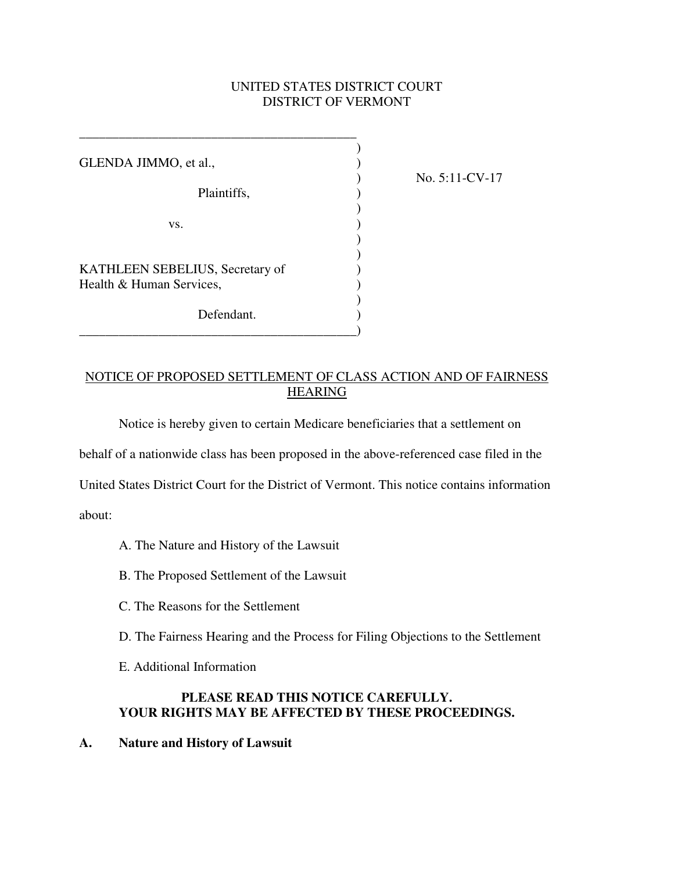# UNITED STATES DISTRICT COURT DISTRICT OF VERMONT

| GLENDA JIMMO, et al.,                                       |  |
|-------------------------------------------------------------|--|
| Plaintiffs,                                                 |  |
| VS.                                                         |  |
| KATHLEEN SEBELIUS, Secretary of<br>Health & Human Services, |  |
| Defendant.                                                  |  |

\_\_\_\_\_\_\_\_\_\_\_\_\_\_\_\_\_\_\_\_\_\_\_\_\_\_\_\_\_\_\_\_\_\_\_\_\_\_\_\_\_\_

) No. 5:11-CV-17

### NOTICE OF PROPOSED SETTLEMENT OF CLASS ACTION AND OF FAIRNESS **HEARING**

Notice is hereby given to certain Medicare beneficiaries that a settlement on

behalf of a nationwide class has been proposed in the above-referenced case filed in the

United States District Court for the District of Vermont. This notice contains information

about:

- A. The Nature and History of the Lawsuit
- B. The Proposed Settlement of the Lawsuit
- C. The Reasons for the Settlement
- D. The Fairness Hearing and the Process for Filing Objections to the Settlement
- E. Additional Information

### **PLEASE READ THIS NOTICE CAREFULLY. YOUR RIGHTS MAY BE AFFECTED BY THESE PROCEEDINGS.**

**A. Nature and History of Lawsuit**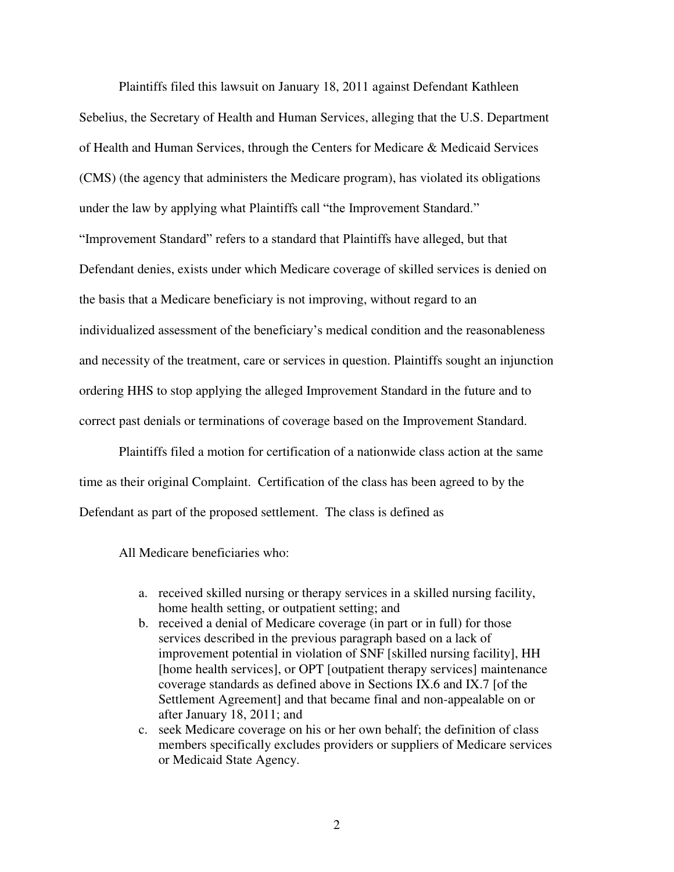Plaintiffs filed this lawsuit on January 18, 2011 against Defendant Kathleen Sebelius, the Secretary of Health and Human Services, alleging that the U.S. Department of Health and Human Services, through the Centers for Medicare & Medicaid Services (CMS) (the agency that administers the Medicare program), has violated its obligations under the law by applying what Plaintiffs call "the Improvement Standard." "Improvement Standard" refers to a standard that Plaintiffs have alleged, but that Defendant denies, exists under which Medicare coverage of skilled services is denied on the basis that a Medicare beneficiary is not improving, without regard to an individualized assessment of the beneficiary's medical condition and the reasonableness and necessity of the treatment, care or services in question. Plaintiffs sought an injunction ordering HHS to stop applying the alleged Improvement Standard in the future and to correct past denials or terminations of coverage based on the Improvement Standard.

Plaintiffs filed a motion for certification of a nationwide class action at the same time as their original Complaint. Certification of the class has been agreed to by the Defendant as part of the proposed settlement. The class is defined as

All Medicare beneficiaries who:

- a. received skilled nursing or therapy services in a skilled nursing facility, home health setting, or outpatient setting; and
- b. received a denial of Medicare coverage (in part or in full) for those services described in the previous paragraph based on a lack of improvement potential in violation of SNF [skilled nursing facility], HH [home health services], or OPT [outpatient therapy services] maintenance coverage standards as defined above in Sections IX.6 and IX.7 [of the Settlement Agreement] and that became final and non-appealable on or after January 18, 2011; and
- c. seek Medicare coverage on his or her own behalf; the definition of class members specifically excludes providers or suppliers of Medicare services or Medicaid State Agency.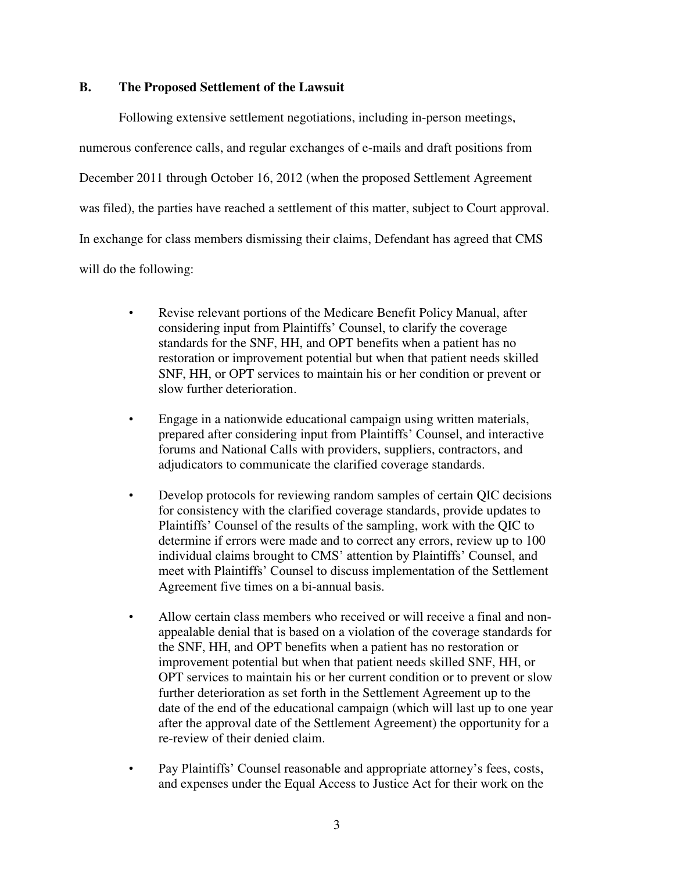#### **B. The Proposed Settlement of the Lawsuit**

Following extensive settlement negotiations, including in-person meetings,

numerous conference calls, and regular exchanges of e-mails and draft positions from

December 2011 through October 16, 2012 (when the proposed Settlement Agreement

was filed), the parties have reached a settlement of this matter, subject to Court approval.

In exchange for class members dismissing their claims, Defendant has agreed that CMS

will do the following:

- Revise relevant portions of the Medicare Benefit Policy Manual, after considering input from Plaintiffs' Counsel, to clarify the coverage standards for the SNF, HH, and OPT benefits when a patient has no restoration or improvement potential but when that patient needs skilled SNF, HH, or OPT services to maintain his or her condition or prevent or slow further deterioration.
- Engage in a nationwide educational campaign using written materials, prepared after considering input from Plaintiffs' Counsel, and interactive forums and National Calls with providers, suppliers, contractors, and adjudicators to communicate the clarified coverage standards.
- Develop protocols for reviewing random samples of certain QIC decisions for consistency with the clarified coverage standards, provide updates to Plaintiffs' Counsel of the results of the sampling, work with the QIC to determine if errors were made and to correct any errors, review up to 100 individual claims brought to CMS' attention by Plaintiffs' Counsel, and meet with Plaintiffs' Counsel to discuss implementation of the Settlement Agreement five times on a bi-annual basis.
- Allow certain class members who received or will receive a final and nonappealable denial that is based on a violation of the coverage standards for the SNF, HH, and OPT benefits when a patient has no restoration or improvement potential but when that patient needs skilled SNF, HH, or OPT services to maintain his or her current condition or to prevent or slow further deterioration as set forth in the Settlement Agreement up to the date of the end of the educational campaign (which will last up to one year after the approval date of the Settlement Agreement) the opportunity for a re-review of their denied claim.
- Pay Plaintiffs' Counsel reasonable and appropriate attorney's fees, costs, and expenses under the Equal Access to Justice Act for their work on the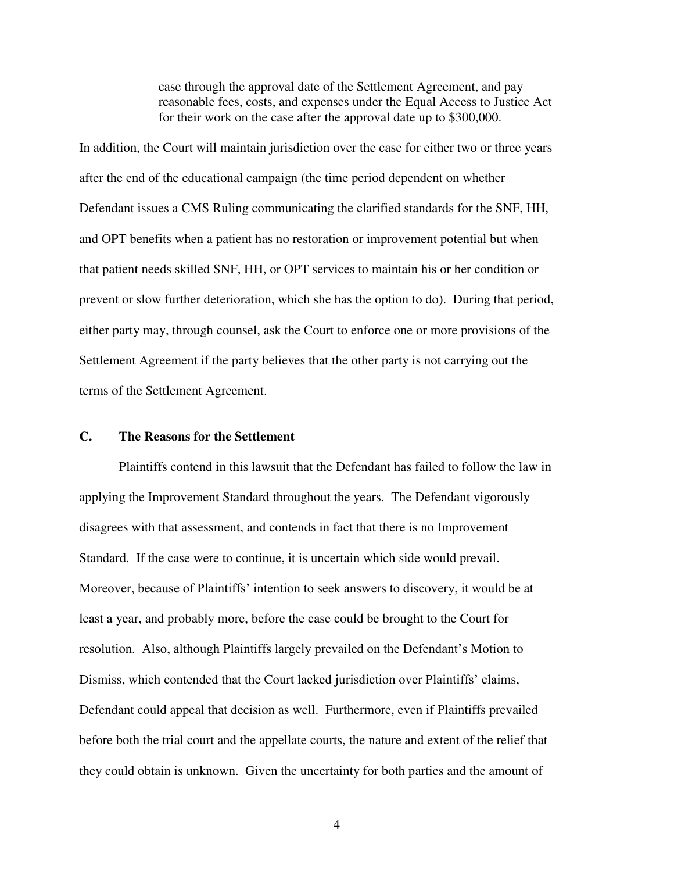case through the approval date of the Settlement Agreement, and pay reasonable fees, costs, and expenses under the Equal Access to Justice Act for their work on the case after the approval date up to \$300,000.

In addition, the Court will maintain jurisdiction over the case for either two or three years after the end of the educational campaign (the time period dependent on whether Defendant issues a CMS Ruling communicating the clarified standards for the SNF, HH, and OPT benefits when a patient has no restoration or improvement potential but when that patient needs skilled SNF, HH, or OPT services to maintain his or her condition or prevent or slow further deterioration, which she has the option to do). During that period, either party may, through counsel, ask the Court to enforce one or more provisions of the Settlement Agreement if the party believes that the other party is not carrying out the terms of the Settlement Agreement.

# **C. The Reasons for the Settlement**

Plaintiffs contend in this lawsuit that the Defendant has failed to follow the law in applying the Improvement Standard throughout the years. The Defendant vigorously disagrees with that assessment, and contends in fact that there is no Improvement Standard. If the case were to continue, it is uncertain which side would prevail. Moreover, because of Plaintiffs' intention to seek answers to discovery, it would be at least a year, and probably more, before the case could be brought to the Court for resolution. Also, although Plaintiffs largely prevailed on the Defendant's Motion to Dismiss, which contended that the Court lacked jurisdiction over Plaintiffs' claims, Defendant could appeal that decision as well. Furthermore, even if Plaintiffs prevailed before both the trial court and the appellate courts, the nature and extent of the relief that they could obtain is unknown. Given the uncertainty for both parties and the amount of

4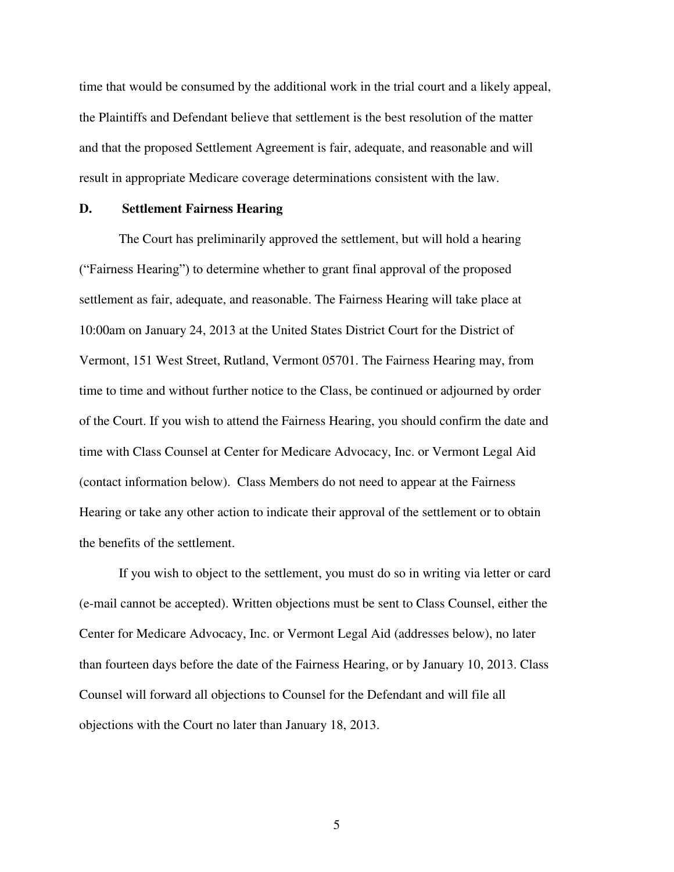time that would be consumed by the additional work in the trial court and a likely appeal, the Plaintiffs and Defendant believe that settlement is the best resolution of the matter and that the proposed Settlement Agreement is fair, adequate, and reasonable and will result in appropriate Medicare coverage determinations consistent with the law.

#### **D. Settlement Fairness Hearing**

The Court has preliminarily approved the settlement, but will hold a hearing ("Fairness Hearing") to determine whether to grant final approval of the proposed settlement as fair, adequate, and reasonable. The Fairness Hearing will take place at 10:00am on January 24, 2013 at the United States District Court for the District of Vermont, 151 West Street, Rutland, Vermont 05701. The Fairness Hearing may, from time to time and without further notice to the Class, be continued or adjourned by order of the Court. If you wish to attend the Fairness Hearing, you should confirm the date and time with Class Counsel at Center for Medicare Advocacy, Inc. or Vermont Legal Aid (contact information below). Class Members do not need to appear at the Fairness Hearing or take any other action to indicate their approval of the settlement or to obtain the benefits of the settlement.

 If you wish to object to the settlement, you must do so in writing via letter or card (e-mail cannot be accepted). Written objections must be sent to Class Counsel, either the Center for Medicare Advocacy, Inc. or Vermont Legal Aid (addresses below), no later than fourteen days before the date of the Fairness Hearing, or by January 10, 2013. Class Counsel will forward all objections to Counsel for the Defendant and will file all objections with the Court no later than January 18, 2013.

5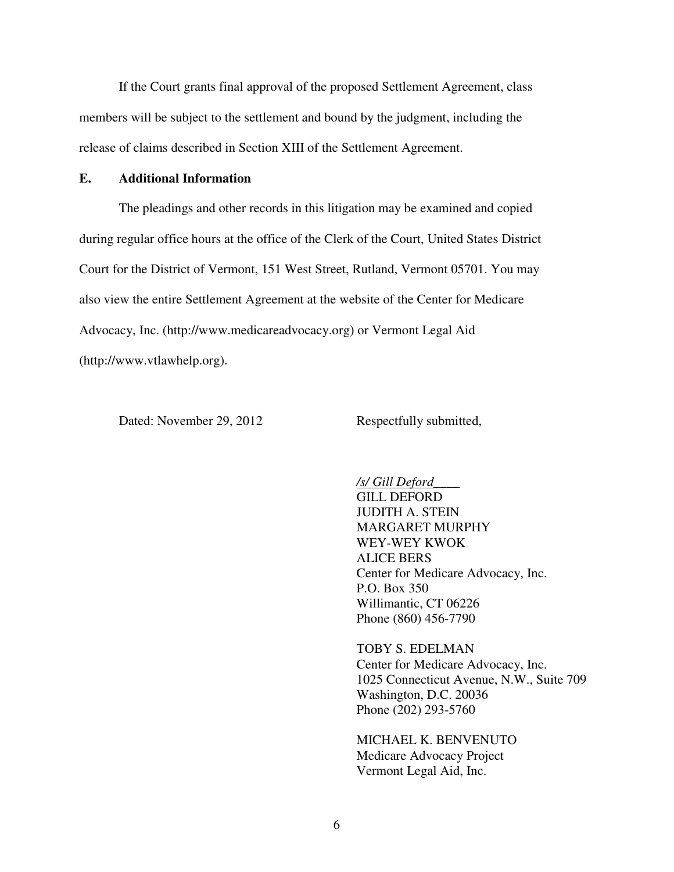If the Court grants final approval of the proposed Settlement Agreement, class members will be subject to the settlement and bound by the judgment, including the release of claims described in Section XIII of the Settlement Agreement.

#### **E. Additional Information**

The pleadings and other records in this litigation may be examined and copied during regular office hours at the office of the Clerk of the Court, United States District Court for the District of Vermont, 151 West Street, Rutland, Vermont 05701. You may also view the entire Settlement Agreement at the website of the Center for Medicare Advocacy, Inc. (http://www.medicareadvocacy.org) or Vermont Legal Aid (http://www.vtlawhelp.org).

Dated: November 29, 2012 Respectfully submitted,

*/s/ Gill Deford\_\_\_\_*  GILL DEFORD JUDITH A. STEIN MARGARET MURPHY WEY-WEY KWOK ALICE BERS Center for Medicare Advocacy, Inc. P.O. Box 350 Willimantic, CT 06226 Phone (860) 456-7790

TOBY S. EDELMAN Center for Medicare Advocacy, Inc. 1025 Connecticut Avenue, N.W., Suite 709 Washington, D.C. 20036 Phone (202) 293-5760

MICHAEL K. BENVENUTO Medicare Advocacy Project Vermont Legal Aid, Inc.